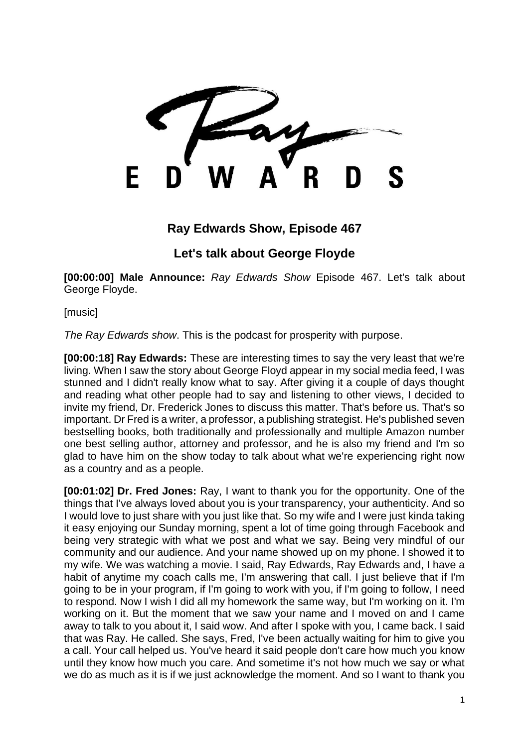F

## **Ray Edwards Show, Episode 467**

# **Let's talk about George Floyde**

**[00:00:00] Male Announce:** *Ray Edwards Show* Episode 467. Let's talk about George Floyde.

[music]

*The Ray Edwards show*. This is the podcast for prosperity with purpose.

**[00:00:18] Ray Edwards:** These are interesting times to say the very least that we're living. When I saw the story about George Floyd appear in my social media feed, I was stunned and I didn't really know what to say. After giving it a couple of days thought and reading what other people had to say and listening to other views, I decided to invite my friend, Dr. Frederick Jones to discuss this matter. That's before us. That's so important. Dr Fred is a writer, a professor, a publishing strategist. He's published seven bestselling books, both traditionally and professionally and multiple Amazon number one best selling author, attorney and professor, and he is also my friend and I'm so glad to have him on the show today to talk about what we're experiencing right now as a country and as a people.

**[00:01:02] Dr. Fred Jones:** Ray, I want to thank you for the opportunity. One of the things that I've always loved about you is your transparency, your authenticity. And so I would love to just share with you just like that. So my wife and I were just kinda taking it easy enjoying our Sunday morning, spent a lot of time going through Facebook and being very strategic with what we post and what we say. Being very mindful of our community and our audience. And your name showed up on my phone. I showed it to my wife. We was watching a movie. I said, Ray Edwards, Ray Edwards and, I have a habit of anytime my coach calls me, I'm answering that call. I just believe that if I'm going to be in your program, if I'm going to work with you, if I'm going to follow, I need to respond. Now I wish I did all my homework the same way, but I'm working on it. I'm working on it. But the moment that we saw your name and I moved on and I came away to talk to you about it, I said wow. And after I spoke with you, I came back. I said that was Ray. He called. She says, Fred, I've been actually waiting for him to give you a call. Your call helped us. You've heard it said people don't care how much you know until they know how much you care. And sometime it's not how much we say or what we do as much as it is if we just acknowledge the moment. And so I want to thank you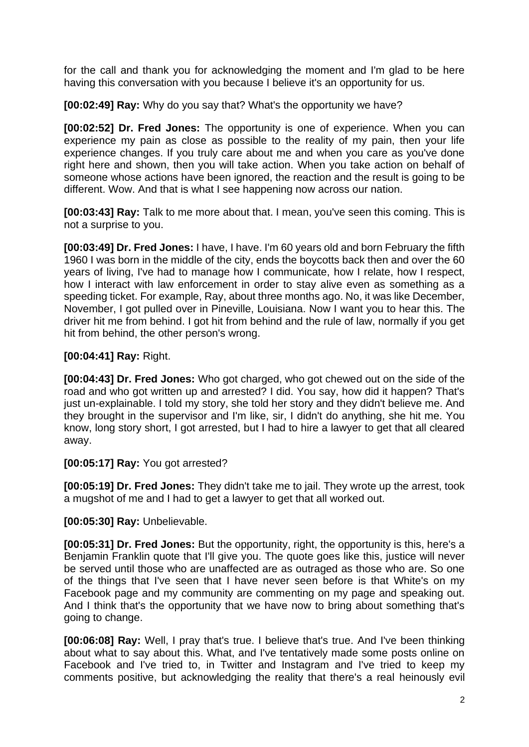for the call and thank you for acknowledging the moment and I'm glad to be here having this conversation with you because I believe it's an opportunity for us.

**[00:02:49] Ray:** Why do you say that? What's the opportunity we have?

**[00:02:52] Dr. Fred Jones:** The opportunity is one of experience. When you can experience my pain as close as possible to the reality of my pain, then your life experience changes. If you truly care about me and when you care as you've done right here and shown, then you will take action. When you take action on behalf of someone whose actions have been ignored, the reaction and the result is going to be different. Wow. And that is what I see happening now across our nation.

**[00:03:43] Ray:** Talk to me more about that. I mean, you've seen this coming. This is not a surprise to you.

**[00:03:49] Dr. Fred Jones:** I have, I have. I'm 60 years old and born February the fifth 1960 I was born in the middle of the city, ends the boycotts back then and over the 60 years of living, I've had to manage how I communicate, how I relate, how I respect, how I interact with law enforcement in order to stay alive even as something as a speeding ticket. For example, Ray, about three months ago. No, it was like December, November, I got pulled over in Pineville, Louisiana. Now I want you to hear this. The driver hit me from behind. I got hit from behind and the rule of law, normally if you get hit from behind, the other person's wrong.

### **[00:04:41] Ray:** Right.

**[00:04:43] Dr. Fred Jones:** Who got charged, who got chewed out on the side of the road and who got written up and arrested? I did. You say, how did it happen? That's just un-explainable. I told my story, she told her story and they didn't believe me. And they brought in the supervisor and I'm like, sir, I didn't do anything, she hit me. You know, long story short, I got arrested, but I had to hire a lawyer to get that all cleared away.

#### **[00:05:17] Ray:** You got arrested?

**[00:05:19] Dr. Fred Jones:** They didn't take me to jail. They wrote up the arrest, took a mugshot of me and I had to get a lawyer to get that all worked out.

**[00:05:30] Ray:** Unbelievable.

**[00:05:31] Dr. Fred Jones:** But the opportunity, right, the opportunity is this, here's a Benjamin Franklin quote that I'll give you. The quote goes like this, justice will never be served until those who are unaffected are as outraged as those who are. So one of the things that I've seen that I have never seen before is that White's on my Facebook page and my community are commenting on my page and speaking out. And I think that's the opportunity that we have now to bring about something that's going to change.

**[00:06:08] Ray:** Well, I pray that's true. I believe that's true. And I've been thinking about what to say about this. What, and I've tentatively made some posts online on Facebook and I've tried to, in Twitter and Instagram and I've tried to keep my comments positive, but acknowledging the reality that there's a real heinously evil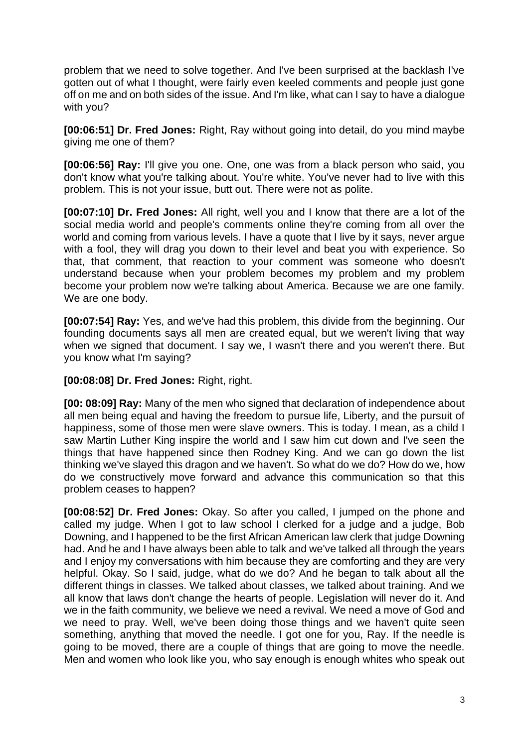problem that we need to solve together. And I've been surprised at the backlash I've gotten out of what I thought, were fairly even keeled comments and people just gone off on me and on both sides of the issue. And I'm like, what can I say to have a dialogue with you?

**[00:06:51] Dr. Fred Jones:** Right, Ray without going into detail, do you mind maybe giving me one of them?

**[00:06:56] Ray:** I'll give you one. One, one was from a black person who said, you don't know what you're talking about. You're white. You've never had to live with this problem. This is not your issue, butt out. There were not as polite.

**[00:07:10] Dr. Fred Jones:** All right, well you and I know that there are a lot of the social media world and people's comments online they're coming from all over the world and coming from various levels. I have a quote that I live by it says, never argue with a fool, they will drag you down to their level and beat you with experience. So that, that comment, that reaction to your comment was someone who doesn't understand because when your problem becomes my problem and my problem become your problem now we're talking about America. Because we are one family. We are one body.

**[00:07:54] Ray:** Yes, and we've had this problem, this divide from the beginning. Our founding documents says all men are created equal, but we weren't living that way when we signed that document. I say we, I wasn't there and you weren't there. But you know what I'm saying?

**[00:08:08] Dr. Fred Jones:** Right, right.

**[00: 08:09] Ray:** Many of the men who signed that declaration of independence about all men being equal and having the freedom to pursue life, Liberty, and the pursuit of happiness, some of those men were slave owners. This is today. I mean, as a child I saw Martin Luther King inspire the world and I saw him cut down and I've seen the things that have happened since then Rodney King. And we can go down the list thinking we've slayed this dragon and we haven't. So what do we do? How do we, how do we constructively move forward and advance this communication so that this problem ceases to happen?

**[00:08:52] Dr. Fred Jones:** Okay. So after you called, I jumped on the phone and called my judge. When I got to law school I clerked for a judge and a judge, Bob Downing, and I happened to be the first African American law clerk that judge Downing had. And he and I have always been able to talk and we've talked all through the years and I enjoy my conversations with him because they are comforting and they are very helpful. Okay. So I said, judge, what do we do? And he began to talk about all the different things in classes. We talked about classes, we talked about training. And we all know that laws don't change the hearts of people. Legislation will never do it. And we in the faith community, we believe we need a revival. We need a move of God and we need to pray. Well, we've been doing those things and we haven't quite seen something, anything that moved the needle. I got one for you, Ray. If the needle is going to be moved, there are a couple of things that are going to move the needle. Men and women who look like you, who say enough is enough whites who speak out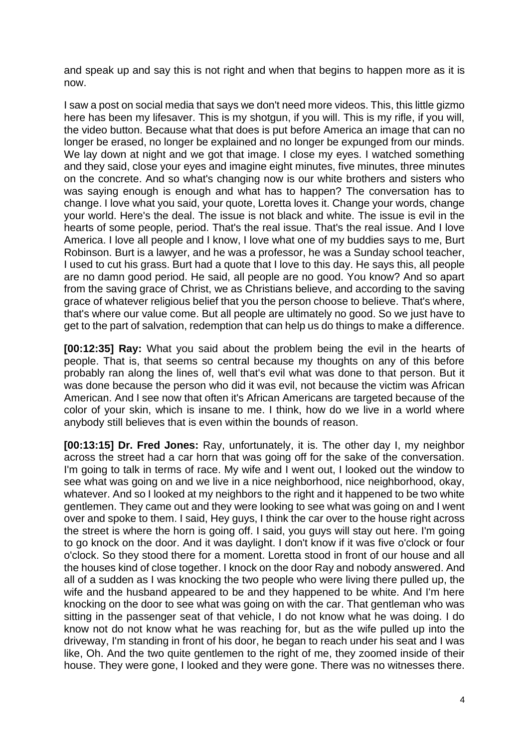and speak up and say this is not right and when that begins to happen more as it is now.

I saw a post on social media that says we don't need more videos. This, this little gizmo here has been my lifesaver. This is my shotgun, if you will. This is my rifle, if you will, the video button. Because what that does is put before America an image that can no longer be erased, no longer be explained and no longer be expunged from our minds. We lay down at night and we got that image. I close my eyes. I watched something and they said, close your eyes and imagine eight minutes, five minutes, three minutes on the concrete. And so what's changing now is our white brothers and sisters who was saying enough is enough and what has to happen? The conversation has to change. I love what you said, your quote, Loretta loves it. Change your words, change your world. Here's the deal. The issue is not black and white. The issue is evil in the hearts of some people, period. That's the real issue. That's the real issue. And I love America. I love all people and I know, I love what one of my buddies says to me, Burt Robinson. Burt is a lawyer, and he was a professor, he was a Sunday school teacher, I used to cut his grass. Burt had a quote that I love to this day. He says this, all people are no damn good period. He said, all people are no good. You know? And so apart from the saving grace of Christ, we as Christians believe, and according to the saving grace of whatever religious belief that you the person choose to believe. That's where, that's where our value come. But all people are ultimately no good. So we just have to get to the part of salvation, redemption that can help us do things to make a difference.

**[00:12:35] Ray:** What you said about the problem being the evil in the hearts of people. That is, that seems so central because my thoughts on any of this before probably ran along the lines of, well that's evil what was done to that person. But it was done because the person who did it was evil, not because the victim was African American. And I see now that often it's African Americans are targeted because of the color of your skin, which is insane to me. I think, how do we live in a world where anybody still believes that is even within the bounds of reason.

**[00:13:15] Dr. Fred Jones:** Ray, unfortunately, it is. The other day I, my neighbor across the street had a car horn that was going off for the sake of the conversation. I'm going to talk in terms of race. My wife and I went out, I looked out the window to see what was going on and we live in a nice neighborhood, nice neighborhood, okay, whatever. And so I looked at my neighbors to the right and it happened to be two white gentlemen. They came out and they were looking to see what was going on and I went over and spoke to them. I said, Hey guys, I think the car over to the house right across the street is where the horn is going off. I said, you guys will stay out here. I'm going to go knock on the door. And it was daylight. I don't know if it was five o'clock or four o'clock. So they stood there for a moment. Loretta stood in front of our house and all the houses kind of close together. I knock on the door Ray and nobody answered. And all of a sudden as I was knocking the two people who were living there pulled up, the wife and the husband appeared to be and they happened to be white. And I'm here knocking on the door to see what was going on with the car. That gentleman who was sitting in the passenger seat of that vehicle, I do not know what he was doing. I do know not do not know what he was reaching for, but as the wife pulled up into the driveway, I'm standing in front of his door, he began to reach under his seat and I was like, Oh. And the two quite gentlemen to the right of me, they zoomed inside of their house. They were gone, I looked and they were gone. There was no witnesses there.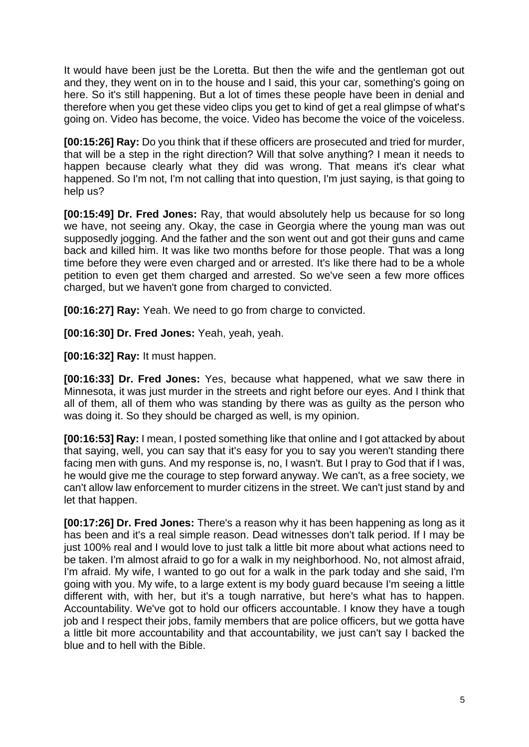It would have been just be the Loretta. But then the wife and the gentleman got out and they, they went on in to the house and I said, this your car, something's going on here. So it's still happening. But a lot of times these people have been in denial and therefore when you get these video clips you get to kind of get a real glimpse of what's going on. Video has become, the voice. Video has become the voice of the voiceless.

**[00:15:26] Ray:** Do you think that if these officers are prosecuted and tried for murder, that will be a step in the right direction? Will that solve anything? I mean it needs to happen because clearly what they did was wrong. That means it's clear what happened. So I'm not, I'm not calling that into question, I'm just saying, is that going to help us?

**[00:15:49] Dr. Fred Jones:** Ray, that would absolutely help us because for so long we have, not seeing any. Okay, the case in Georgia where the young man was out supposedly jogging. And the father and the son went out and got their guns and came back and killed him. It was like two months before for those people. That was a long time before they were even charged and or arrested. It's like there had to be a whole petition to even get them charged and arrested. So we've seen a few more offices charged, but we haven't gone from charged to convicted.

**[00:16:27] Ray:** Yeah. We need to go from charge to convicted.

**[00:16:30] Dr. Fred Jones:** Yeah, yeah, yeah.

**[00:16:32] Ray:** It must happen.

**[00:16:33] Dr. Fred Jones:** Yes, because what happened, what we saw there in Minnesota, it was just murder in the streets and right before our eyes. And I think that all of them, all of them who was standing by there was as guilty as the person who was doing it. So they should be charged as well, is my opinion.

**[00:16:53] Ray:** I mean, I posted something like that online and I got attacked by about that saying, well, you can say that it's easy for you to say you weren't standing there facing men with guns. And my response is, no, I wasn't. But I pray to God that if I was, he would give me the courage to step forward anyway. We can't, as a free society, we can't allow law enforcement to murder citizens in the street. We can't just stand by and let that happen.

**[00:17:26] Dr. Fred Jones:** There's a reason why it has been happening as long as it has been and it's a real simple reason. Dead witnesses don't talk period. If I may be just 100% real and I would love to just talk a little bit more about what actions need to be taken. I'm almost afraid to go for a walk in my neighborhood. No, not almost afraid, I'm afraid. My wife, I wanted to go out for a walk in the park today and she said, I'm going with you. My wife, to a large extent is my body guard because I'm seeing a little different with, with her, but it's a tough narrative, but here's what has to happen. Accountability. We've got to hold our officers accountable. I know they have a tough job and I respect their jobs, family members that are police officers, but we gotta have a little bit more accountability and that accountability, we just can't say I backed the blue and to hell with the Bible.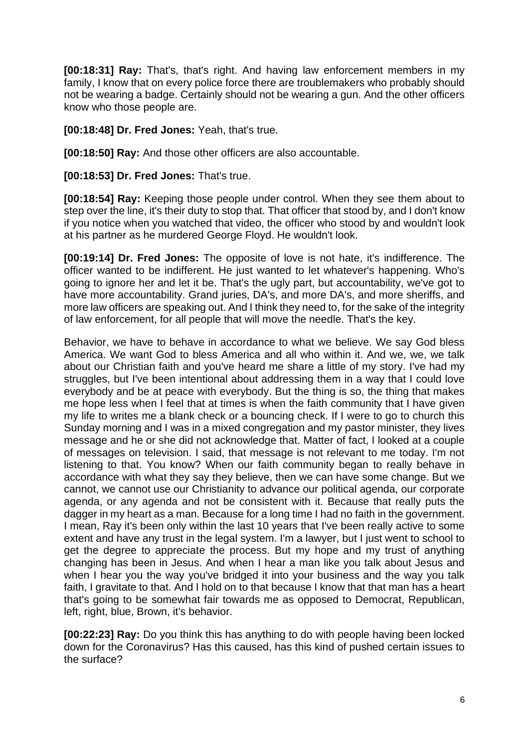**[00:18:31] Ray:** That's, that's right. And having law enforcement members in my family, I know that on every police force there are troublemakers who probably should not be wearing a badge. Certainly should not be wearing a gun. And the other officers know who those people are.

**[00:18:48] Dr. Fred Jones:** Yeah, that's true.

**[00:18:50] Ray:** And those other officers are also accountable.

**[00:18:53] Dr. Fred Jones:** That's true.

**[00:18:54] Ray:** Keeping those people under control. When they see them about to step over the line, it's their duty to stop that. That officer that stood by, and I don't know if you notice when you watched that video, the officer who stood by and wouldn't look at his partner as he murdered George Floyd. He wouldn't look.

**[00:19:14] Dr. Fred Jones:** The opposite of love is not hate, it's indifference. The officer wanted to be indifferent. He just wanted to let whatever's happening. Who's going to ignore her and let it be. That's the ugly part, but accountability, we've got to have more accountability. Grand juries, DA's, and more DA's, and more sheriffs, and more law officers are speaking out. And I think they need to, for the sake of the integrity of law enforcement, for all people that will move the needle. That's the key.

Behavior, we have to behave in accordance to what we believe. We say God bless America. We want God to bless America and all who within it. And we, we, we talk about our Christian faith and you've heard me share a little of my story. I've had my struggles, but I've been intentional about addressing them in a way that I could love everybody and be at peace with everybody. But the thing is so, the thing that makes me hope less when I feel that at times is when the faith community that I have given my life to writes me a blank check or a bouncing check. If I were to go to church this Sunday morning and I was in a mixed congregation and my pastor minister, they lives message and he or she did not acknowledge that. Matter of fact, I looked at a couple of messages on television. I said, that message is not relevant to me today. I'm not listening to that. You know? When our faith community began to really behave in accordance with what they say they believe, then we can have some change. But we cannot, we cannot use our Christianity to advance our political agenda, our corporate agenda, or any agenda and not be consistent with it. Because that really puts the dagger in my heart as a man. Because for a long time I had no faith in the government. I mean, Ray it's been only within the last 10 years that I've been really active to some extent and have any trust in the legal system. I'm a lawyer, but I just went to school to get the degree to appreciate the process. But my hope and my trust of anything changing has been in Jesus. And when I hear a man like you talk about Jesus and when I hear you the way you've bridged it into your business and the way you talk faith, I gravitate to that. And I hold on to that because I know that that man has a heart that's going to be somewhat fair towards me as opposed to Democrat, Republican, left, right, blue, Brown, it's behavior.

**[00:22:23] Ray:** Do you think this has anything to do with people having been locked down for the Coronavirus? Has this caused, has this kind of pushed certain issues to the surface?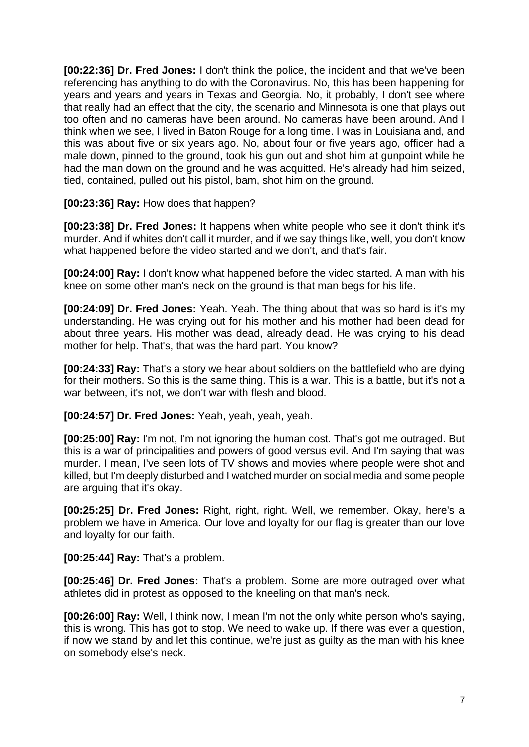**[00:22:36] Dr. Fred Jones:** I don't think the police, the incident and that we've been referencing has anything to do with the Coronavirus. No, this has been happening for years and years and years in Texas and Georgia. No, it probably, I don't see where that really had an effect that the city, the scenario and Minnesota is one that plays out too often and no cameras have been around. No cameras have been around. And I think when we see, I lived in Baton Rouge for a long time. I was in Louisiana and, and this was about five or six years ago. No, about four or five years ago, officer had a male down, pinned to the ground, took his gun out and shot him at gunpoint while he had the man down on the ground and he was acquitted. He's already had him seized, tied, contained, pulled out his pistol, bam, shot him on the ground.

**[00:23:36] Ray:** How does that happen?

**[00:23:38] Dr. Fred Jones:** It happens when white people who see it don't think it's murder. And if whites don't call it murder, and if we say things like, well, you don't know what happened before the video started and we don't, and that's fair.

**[00:24:00] Ray:** I don't know what happened before the video started. A man with his knee on some other man's neck on the ground is that man begs for his life.

**[00:24:09] Dr. Fred Jones:** Yeah. Yeah. The thing about that was so hard is it's my understanding. He was crying out for his mother and his mother had been dead for about three years. His mother was dead, already dead. He was crying to his dead mother for help. That's, that was the hard part. You know?

**[00:24:33] Ray:** That's a story we hear about soldiers on the battlefield who are dying for their mothers. So this is the same thing. This is a war. This is a battle, but it's not a war between, it's not, we don't war with flesh and blood.

**[00:24:57] Dr. Fred Jones:** Yeah, yeah, yeah, yeah.

**[00:25:00] Ray:** I'm not, I'm not ignoring the human cost. That's got me outraged. But this is a war of principalities and powers of good versus evil. And I'm saying that was murder. I mean, I've seen lots of TV shows and movies where people were shot and killed, but I'm deeply disturbed and I watched murder on social media and some people are arguing that it's okay.

**[00:25:25] Dr. Fred Jones:** Right, right, right. Well, we remember. Okay, here's a problem we have in America. Our love and loyalty for our flag is greater than our love and loyalty for our faith.

**[00:25:44] Ray:** That's a problem.

**[00:25:46] Dr. Fred Jones:** That's a problem. Some are more outraged over what athletes did in protest as opposed to the kneeling on that man's neck.

**[00:26:00] Ray:** Well, I think now, I mean I'm not the only white person who's saying, this is wrong. This has got to stop. We need to wake up. If there was ever a question, if now we stand by and let this continue, we're just as guilty as the man with his knee on somebody else's neck.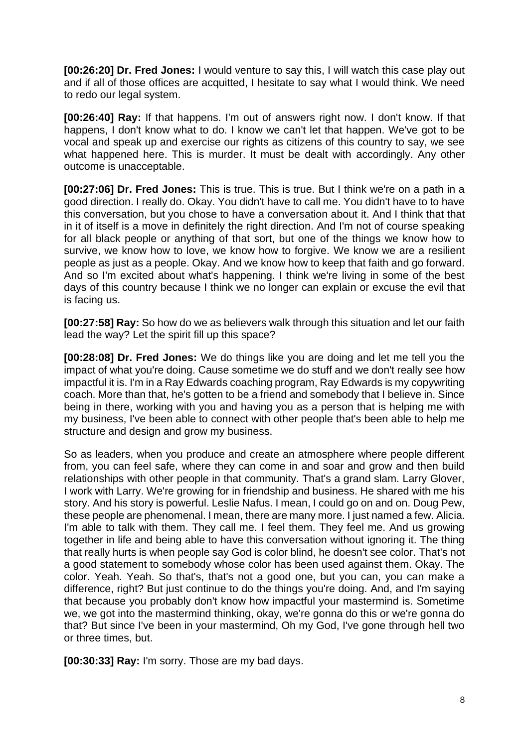**[00:26:20] Dr. Fred Jones:** I would venture to say this, I will watch this case play out and if all of those offices are acquitted, I hesitate to say what I would think. We need to redo our legal system.

**[00:26:40] Ray:** If that happens. I'm out of answers right now. I don't know. If that happens, I don't know what to do. I know we can't let that happen. We've got to be vocal and speak up and exercise our rights as citizens of this country to say, we see what happened here. This is murder. It must be dealt with accordingly. Any other outcome is unacceptable.

**[00:27:06] Dr. Fred Jones:** This is true. This is true. But I think we're on a path in a good direction. I really do. Okay. You didn't have to call me. You didn't have to to have this conversation, but you chose to have a conversation about it. And I think that that in it of itself is a move in definitely the right direction. And I'm not of course speaking for all black people or anything of that sort, but one of the things we know how to survive, we know how to love, we know how to forgive. We know we are a resilient people as just as a people. Okay. And we know how to keep that faith and go forward. And so I'm excited about what's happening. I think we're living in some of the best days of this country because I think we no longer can explain or excuse the evil that is facing us.

**[00:27:58] Ray:** So how do we as believers walk through this situation and let our faith lead the way? Let the spirit fill up this space?

**[00:28:08] Dr. Fred Jones:** We do things like you are doing and let me tell you the impact of what you're doing. Cause sometime we do stuff and we don't really see how impactful it is. I'm in a Ray Edwards coaching program, Ray Edwards is my copywriting coach. More than that, he's gotten to be a friend and somebody that I believe in. Since being in there, working with you and having you as a person that is helping me with my business, I've been able to connect with other people that's been able to help me structure and design and grow my business.

So as leaders, when you produce and create an atmosphere where people different from, you can feel safe, where they can come in and soar and grow and then build relationships with other people in that community. That's a grand slam. Larry Glover, I work with Larry. We're growing for in friendship and business. He shared with me his story. And his story is powerful. Leslie Nafus. I mean, I could go on and on. Doug Pew, these people are phenomenal. I mean, there are many more. I just named a few. Alicia. I'm able to talk with them. They call me. I feel them. They feel me. And us growing together in life and being able to have this conversation without ignoring it. The thing that really hurts is when people say God is color blind, he doesn't see color. That's not a good statement to somebody whose color has been used against them. Okay. The color. Yeah. Yeah. So that's, that's not a good one, but you can, you can make a difference, right? But just continue to do the things you're doing. And, and I'm saying that because you probably don't know how impactful your mastermind is. Sometime we, we got into the mastermind thinking, okay, we're gonna do this or we're gonna do that? But since I've been in your mastermind, Oh my God, I've gone through hell two or three times, but.

**[00:30:33] Ray:** I'm sorry. Those are my bad days.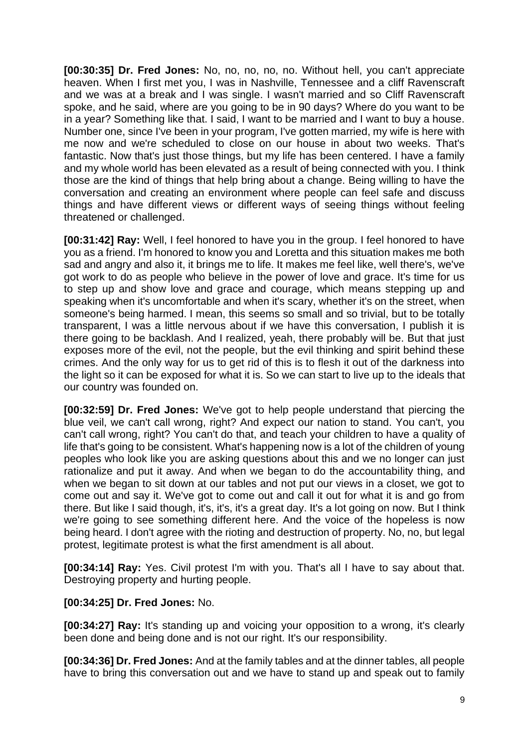**[00:30:35] Dr. Fred Jones:** No, no, no, no, no. Without hell, you can't appreciate heaven. When I first met you, I was in Nashville, Tennessee and a cliff Ravenscraft and we was at a break and I was single. I wasn't married and so Cliff Ravenscraft spoke, and he said, where are you going to be in 90 days? Where do you want to be in a year? Something like that. I said, I want to be married and I want to buy a house. Number one, since I've been in your program, I've gotten married, my wife is here with me now and we're scheduled to close on our house in about two weeks. That's fantastic. Now that's just those things, but my life has been centered. I have a family and my whole world has been elevated as a result of being connected with you. I think those are the kind of things that help bring about a change. Being willing to have the conversation and creating an environment where people can feel safe and discuss things and have different views or different ways of seeing things without feeling threatened or challenged.

**[00:31:42] Ray:** Well, I feel honored to have you in the group. I feel honored to have you as a friend. I'm honored to know you and Loretta and this situation makes me both sad and angry and also it, it brings me to life. It makes me feel like, well there's, we've got work to do as people who believe in the power of love and grace. It's time for us to step up and show love and grace and courage, which means stepping up and speaking when it's uncomfortable and when it's scary, whether it's on the street, when someone's being harmed. I mean, this seems so small and so trivial, but to be totally transparent, I was a little nervous about if we have this conversation, I publish it is there going to be backlash. And I realized, yeah, there probably will be. But that just exposes more of the evil, not the people, but the evil thinking and spirit behind these crimes. And the only way for us to get rid of this is to flesh it out of the darkness into the light so it can be exposed for what it is. So we can start to live up to the ideals that our country was founded on.

**[00:32:59] Dr. Fred Jones:** We've got to help people understand that piercing the blue veil, we can't call wrong, right? And expect our nation to stand. You can't, you can't call wrong, right? You can't do that, and teach your children to have a quality of life that's going to be consistent. What's happening now is a lot of the children of young peoples who look like you are asking questions about this and we no longer can just rationalize and put it away. And when we began to do the accountability thing, and when we began to sit down at our tables and not put our views in a closet, we got to come out and say it. We've got to come out and call it out for what it is and go from there. But like I said though, it's, it's, it's a great day. It's a lot going on now. But I think we're going to see something different here. And the voice of the hopeless is now being heard. I don't agree with the rioting and destruction of property. No, no, but legal protest, legitimate protest is what the first amendment is all about.

**[00:34:14] Ray:** Yes. Civil protest I'm with you. That's all I have to say about that. Destroying property and hurting people.

#### **[00:34:25] Dr. Fred Jones:** No.

**[00:34:27] Ray:** It's standing up and voicing your opposition to a wrong, it's clearly been done and being done and is not our right. It's our responsibility.

**[00:34:36] Dr. Fred Jones:** And at the family tables and at the dinner tables, all people have to bring this conversation out and we have to stand up and speak out to family